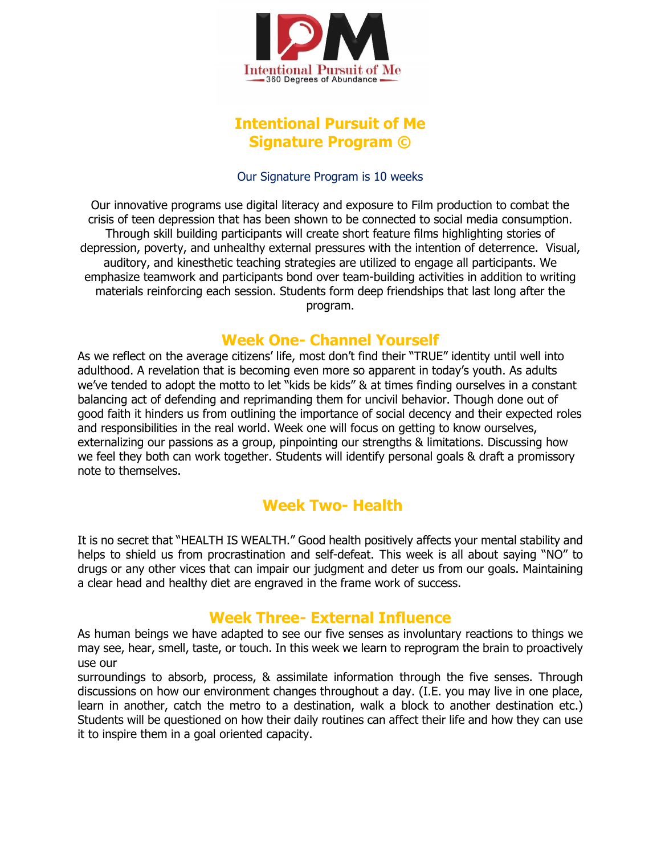

### **Intentional Pursuit of Me Signature Program ©**

#### Our Signature Program is 10 weeks

Our innovative programs use digital literacy and exposure to Film production to combat the crisis of teen depression that has been shown to be connected to social media consumption. Through skill building participants will create short feature films highlighting stories of depression, poverty, and unhealthy external pressures with the intention of deterrence. Visual, auditory, and kinesthetic teaching strategies are utilized to engage all participants. We emphasize teamwork and participants bond over team-building activities in addition to writing materials reinforcing each session. Students form deep friendships that last long after the program.

#### **Week One- Channel Yourself**

As we reflect on the average citizens' life, most don't find their "TRUE" identity until well into adulthood. A revelation that is becoming even more so apparent in today's youth. As adults we've tended to adopt the motto to let "kids be kids" & at times finding ourselves in a constant balancing act of defending and reprimanding them for uncivil behavior. Though done out of good faith it hinders us from outlining the importance of social decency and their expected roles and responsibilities in the real world. Week one will focus on getting to know ourselves, externalizing our passions as a group, pinpointing our strengths & limitations. Discussing how we feel they both can work together. Students will identify personal goals & draft a promissory note to themselves.

# **Week Two- Health**

It is no secret that "HEALTH IS WEALTH." Good health positively affects your mental stability and helps to shield us from procrastination and self-defeat. This week is all about saying "NO" to drugs or any other vices that can impair our judgment and deter us from our goals. Maintaining a clear head and healthy diet are engraved in the frame work of success.

### **Week Three- External Influence**

As human beings we have adapted to see our five senses as involuntary reactions to things we may see, hear, smell, taste, or touch. In this week we learn to reprogram the brain to proactively use our

surroundings to absorb, process, & assimilate information through the five senses. Through discussions on how our environment changes throughout a day. (I.E. you may live in one place, learn in another, catch the metro to a destination, walk a block to another destination etc.) Students will be questioned on how their daily routines can affect their life and how they can use it to inspire them in a goal oriented capacity.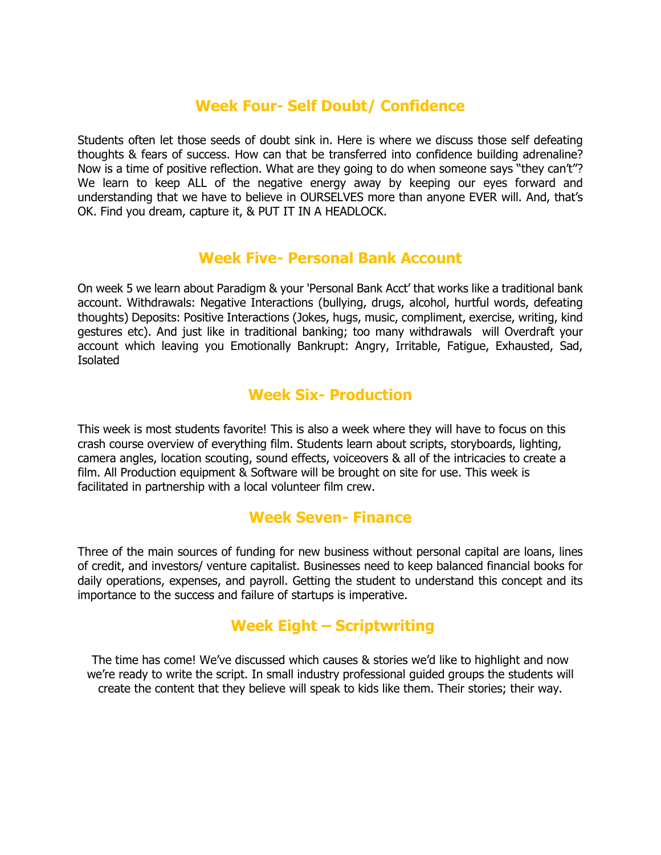## **Week Four- Self Doubt/ Confidence**

Students often let those seeds of doubt sink in. Here is where we discuss those self defeating thoughts & fears of success. How can that be transferred into confidence building adrenaline? Now is a time of positive reflection. What are they going to do when someone says "they can't"? We learn to keep ALL of the negative energy away by keeping our eyes forward and understanding that we have to believe in OURSELVES more than anyone EVER will. And, that's OK. Find you dream, capture it, & PUT IT IN A HEADLOCK.

### **Week Five- Personal Bank Account**

On week 5 we learn about Paradigm & your 'Personal Bank Acct' that works like a traditional bank account. Withdrawals: Negative Interactions (bullying, drugs, alcohol, hurtful words, defeating thoughts) Deposits: Positive Interactions (Jokes, hugs, music, compliment, exercise, writing, kind gestures etc). And just like in traditional banking; too many withdrawals will Overdraft your account which leaving you Emotionally Bankrupt: Angry, Irritable, Fatigue, Exhausted, Sad, Isolated

## **Week Six- Production**

This week is most students favorite! This is also a week where they will have to focus on this crash course overview of everything film. Students learn about scripts, storyboards, lighting, camera angles, location scouting, sound effects, voiceovers & all of the intricacies to create a film. All Production equipment & Software will be brought on site for use. This week is facilitated in partnership with a local volunteer film crew.

#### **Week Seven- Finance**

Three of the main sources of funding for new business without personal capital are loans, lines of credit, and investors/ venture capitalist. Businesses need to keep balanced financial books for daily operations, expenses, and payroll. Getting the student to understand this concept and its importance to the success and failure of startups is imperative.

### **Week Eight – Scriptwriting**

The time has come! We've discussed which causes & stories we'd like to highlight and now we're ready to write the script. In small industry professional guided groups the students will create the content that they believe will speak to kids like them. Their stories; their way.